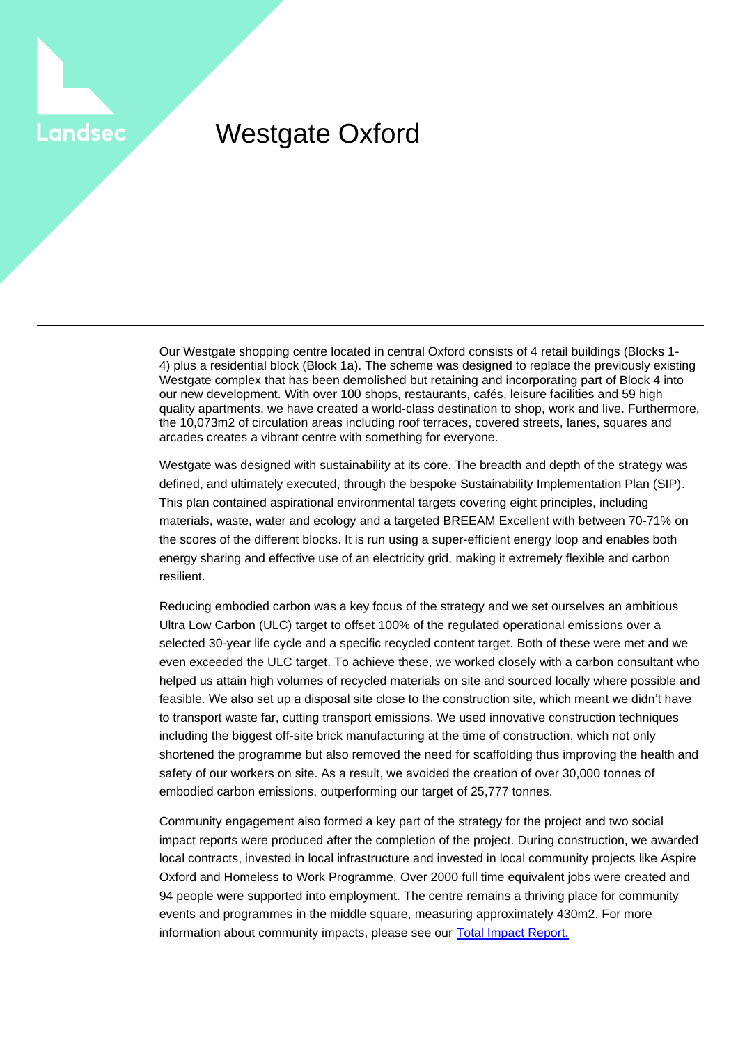## Westgate Oxford

**Landsec** 

Our Westgate shopping centre located in central Oxford consists of 4 retail buildings (Blocks 1- 4) plus a residential block (Block 1a). The scheme was designed to replace the previously existing Westgate complex that has been demolished but retaining and incorporating part of Block 4 into our new development. With over 100 shops, restaurants, cafés, leisure facilities and 59 high quality apartments, we have created a world-class destination to shop, work and live. Furthermore, the 10,073m2 of circulation areas including roof terraces, covered streets, lanes, squares and arcades creates a vibrant centre with something for everyone.

Westgate was designed with sustainability at its core. The breadth and depth of the strategy was defined, and ultimately executed, through the bespoke Sustainability Implementation Plan (SIP). This plan contained aspirational environmental targets covering eight principles, including materials, waste, water and ecology and a targeted BREEAM Excellent with between 70-71% on the scores of the different blocks. It is run using a super-efficient energy loop and enables both energy sharing and effective use of an electricity grid, making it extremely flexible and carbon resilient.

Reducing embodied carbon was a key focus of the strategy and we set ourselves an ambitious Ultra Low Carbon (ULC) target to offset 100% of the regulated operational emissions over a selected 30-year life cycle and a specific recycled content target. Both of these were met and we even exceeded the ULC target. To achieve these, we worked closely with a carbon consultant who helped us attain high volumes of recycled materials on site and sourced locally where possible and feasible. We also set up a disposal site close to the construction site, which meant we didn't have to transport waste far, cutting transport emissions. We used innovative construction techniques including the biggest off-site brick manufacturing at the time of construction, which not only shortened the programme but also removed the need for scaffolding thus improving the health and safety of our workers on site. As a result, we avoided the creation of over 30,000 tonnes of embodied carbon emissions, outperforming our target of 25,777 tonnes.

Community engagement also formed a key part of the strategy for the project and two social impact reports were produced after the completion of the project. During construction, we awarded local contracts, invested in local infrastructure and invested in local community projects like Aspire Oxford and Homeless to Work Programme. Over 2000 full time equivalent jobs were created and 94 people were supported into employment. The centre remains a thriving place for community events and programmes in the middle square, measuring approximately 430m2. For more information about community impacts, please see our [Total Impact Report.](https://landsec.com/sites/default/files/2018-11/Westgate_Total_Impact_Report_One_Year_On.pdf)